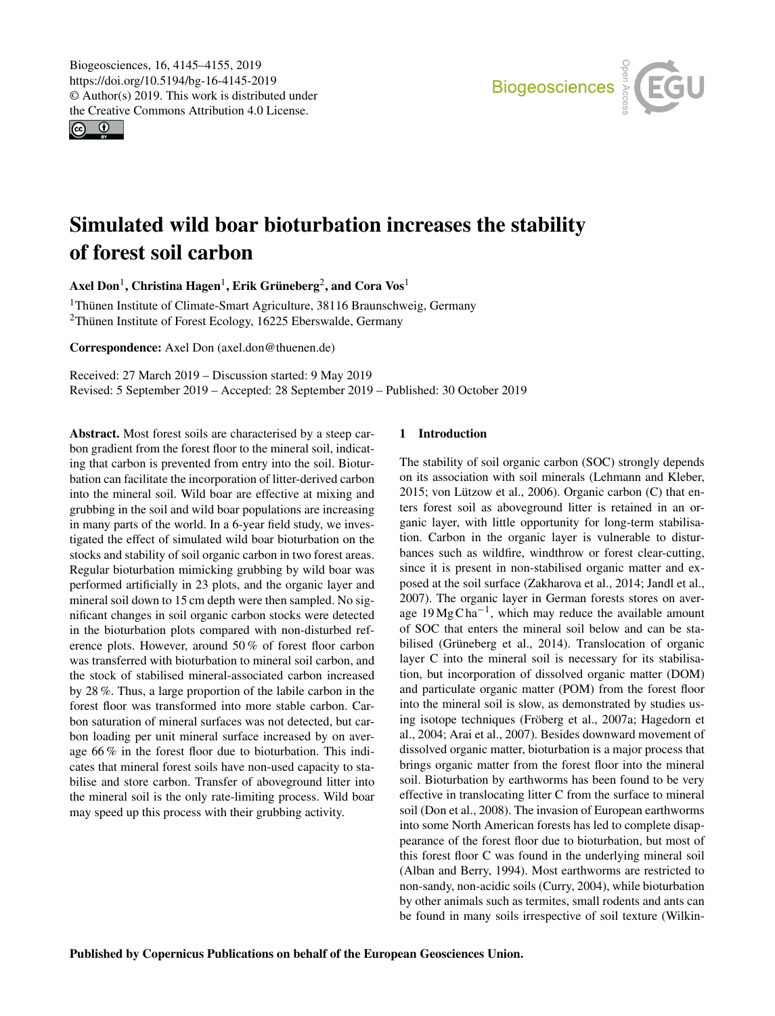<span id="page-0-1"></span> $\circledcirc$ 



# Simulated wild boar bioturbation increases the stability of forest soil carbon

Axel Don $^1$  $^1$ , Christina Hagen $^1$ , Erik Grüneberg $^2$  $^2$ , and Cora Vos $^1$ 

<sup>1</sup>Thünen Institute of Climate-Smart Agriculture, 38116 Braunschweig, Germany <sup>2</sup>Thünen Institute of Forest Ecology, 16225 Eberswalde, Germany

Correspondence: Axel Don (axel.don@thuenen.de)

Received: 27 March 2019 – Discussion started: 9 May 2019 Revised: 5 September 2019 – Accepted: 28 September 2019 – Published: 30 October 2019

<span id="page-0-0"></span>Abstract. Most forest soils are characterised by a steep carbon gradient from the forest floor to the mineral soil, indicating that carbon is prevented from entry into the soil. Bioturbation can facilitate the incorporation of litter-derived carbon into the mineral soil. Wild boar are effective at mixing and grubbing in the soil and wild boar populations are increasing in many parts of the world. In a 6-year field study, we investigated the effect of simulated wild boar bioturbation on the stocks and stability of soil organic carbon in two forest areas. Regular bioturbation mimicking grubbing by wild boar was performed artificially in 23 plots, and the organic layer and mineral soil down to 15 cm depth were then sampled. No significant changes in soil organic carbon stocks were detected in the bioturbation plots compared with non-disturbed reference plots. However, around 50 % of forest floor carbon was transferred with bioturbation to mineral soil carbon, and the stock of stabilised mineral-associated carbon increased by 28 %. Thus, a large proportion of the labile carbon in the forest floor was transformed into more stable carbon. Carbon saturation of mineral surfaces was not detected, but carbon loading per unit mineral surface increased by on average 66 % in the forest floor due to bioturbation. This indicates that mineral forest soils have non-used capacity to stabilise and store carbon. Transfer of aboveground litter into the mineral soil is the only rate-limiting process. Wild boar may speed up this process with their grubbing activity.

# 1 Introduction

The stability of soil organic carbon (SOC) strongly depends on its association with soil minerals (Lehmann and Kleber, 2015; von Lützow et al., 2006). Organic carbon (C) that enters forest soil as aboveground litter is retained in an organic layer, with little opportunity for long-term stabilisation. Carbon in the organic layer is vulnerable to disturbances such as wildfire, windthrow or forest clear-cutting, since it is present in non-stabilised organic matter and exposed at the soil surface (Zakharova et al., 2014; Jandl et al., 2007). The organic layer in German forests stores on average  $19 \text{ Mg} \text{Cha}^{-1}$ , which may reduce the available amount of SOC that enters the mineral soil below and can be stabilised (Grüneberg et al., 2014). Translocation of organic layer C into the mineral soil is necessary for its stabilisation, but incorporation of dissolved organic matter (DOM) and particulate organic matter (POM) from the forest floor into the mineral soil is slow, as demonstrated by studies using isotope techniques (Fröberg et al., 2007a; Hagedorn et al., 2004; Arai et al., 2007). Besides downward movement of dissolved organic matter, bioturbation is a major process that brings organic matter from the forest floor into the mineral soil. Bioturbation by earthworms has been found to be very effective in translocating litter C from the surface to mineral soil (Don et al., 2008). The invasion of European earthworms into some North American forests has led to complete disappearance of the forest floor due to bioturbation, but most of this forest floor C was found in the underlying mineral soil (Alban and Berry, 1994). Most earthworms are restricted to non-sandy, non-acidic soils (Curry, 2004), while bioturbation by other animals such as termites, small rodents and ants can be found in many soils irrespective of soil texture (Wilkin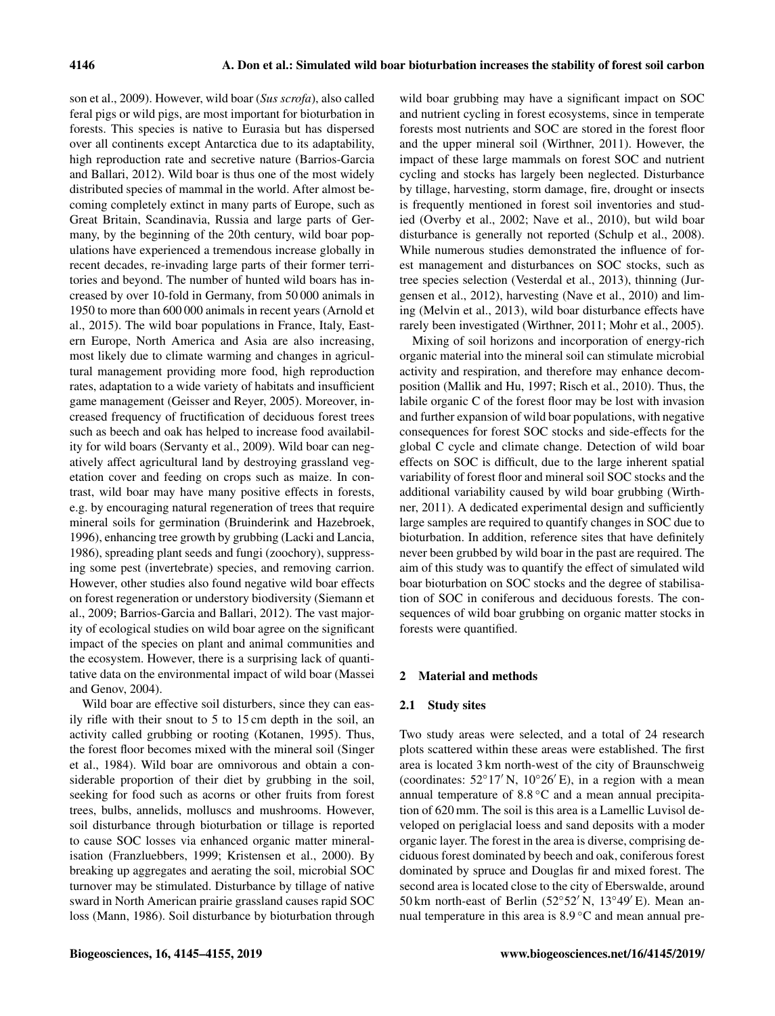son et al., 2009). However, wild boar (*Sus scrofa*), also called feral pigs or wild pigs, are most important for bioturbation in forests. This species is native to Eurasia but has dispersed over all continents except Antarctica due to its adaptability, high reproduction rate and secretive nature (Barrios-Garcia and Ballari, 2012). Wild boar is thus one of the most widely distributed species of mammal in the world. After almost becoming completely extinct in many parts of Europe, such as Great Britain, Scandinavia, Russia and large parts of Germany, by the beginning of the 20th century, wild boar populations have experienced a tremendous increase globally in recent decades, re-invading large parts of their former territories and beyond. The number of hunted wild boars has increased by over 10-fold in Germany, from 50 000 animals in 1950 to more than 600 000 animals in recent years (Arnold et al., 2015). The wild boar populations in France, Italy, Eastern Europe, North America and Asia are also increasing, most likely due to climate warming and changes in agricultural management providing more food, high reproduction rates, adaptation to a wide variety of habitats and insufficient game management (Geisser and Reyer, 2005). Moreover, increased frequency of fructification of deciduous forest trees such as beech and oak has helped to increase food availability for wild boars (Servanty et al., 2009). Wild boar can negatively affect agricultural land by destroying grassland vegetation cover and feeding on crops such as maize. In contrast, wild boar may have many positive effects in forests, e.g. by encouraging natural regeneration of trees that require mineral soils for germination (Bruinderink and Hazebroek, 1996), enhancing tree growth by grubbing (Lacki and Lancia, 1986), spreading plant seeds and fungi (zoochory), suppressing some pest (invertebrate) species, and removing carrion. However, other studies also found negative wild boar effects on forest regeneration or understory biodiversity (Siemann et al., 2009; Barrios-Garcia and Ballari, 2012). The vast majority of ecological studies on wild boar agree on the significant impact of the species on plant and animal communities and the ecosystem. However, there is a surprising lack of quantitative data on the environmental impact of wild boar (Massei and Genov, 2004).

Wild boar are effective soil disturbers, since they can easily rifle with their snout to 5 to 15 cm depth in the soil, an activity called grubbing or rooting (Kotanen, 1995). Thus, the forest floor becomes mixed with the mineral soil (Singer et al., 1984). Wild boar are omnivorous and obtain a considerable proportion of their diet by grubbing in the soil, seeking for food such as acorns or other fruits from forest trees, bulbs, annelids, molluscs and mushrooms. However, soil disturbance through bioturbation or tillage is reported to cause SOC losses via enhanced organic matter mineralisation (Franzluebbers, 1999; Kristensen et al., 2000). By breaking up aggregates and aerating the soil, microbial SOC turnover may be stimulated. Disturbance by tillage of native sward in North American prairie grassland causes rapid SOC loss (Mann, 1986). Soil disturbance by bioturbation through

wild boar grubbing may have a significant impact on SOC and nutrient cycling in forest ecosystems, since in temperate forests most nutrients and SOC are stored in the forest floor and the upper mineral soil (Wirthner, 2011). However, the impact of these large mammals on forest SOC and nutrient cycling and stocks has largely been neglected. Disturbance by tillage, harvesting, storm damage, fire, drought or insects is frequently mentioned in forest soil inventories and studied (Overby et al., 2002; Nave et al., 2010), but wild boar disturbance is generally not reported (Schulp et al., 2008). While numerous studies demonstrated the influence of forest management and disturbances on SOC stocks, such as tree species selection (Vesterdal et al., 2013), thinning (Jurgensen et al., 2012), harvesting (Nave et al., 2010) and liming (Melvin et al., 2013), wild boar disturbance effects have rarely been investigated (Wirthner, 2011; Mohr et al., 2005).

Mixing of soil horizons and incorporation of energy-rich organic material into the mineral soil can stimulate microbial activity and respiration, and therefore may enhance decomposition (Mallik and Hu, 1997; Risch et al., 2010). Thus, the labile organic C of the forest floor may be lost with invasion and further expansion of wild boar populations, with negative consequences for forest SOC stocks and side-effects for the global C cycle and climate change. Detection of wild boar effects on SOC is difficult, due to the large inherent spatial variability of forest floor and mineral soil SOC stocks and the additional variability caused by wild boar grubbing (Wirthner, 2011). A dedicated experimental design and sufficiently large samples are required to quantify changes in SOC due to bioturbation. In addition, reference sites that have definitely never been grubbed by wild boar in the past are required. The aim of this study was to quantify the effect of simulated wild boar bioturbation on SOC stocks and the degree of stabilisation of SOC in coniferous and deciduous forests. The consequences of wild boar grubbing on organic matter stocks in forests were quantified.

## 2 Material and methods

## 2.1 Study sites

Two study areas were selected, and a total of 24 research plots scattered within these areas were established. The first area is located 3 km north-west of the city of Braunschweig (coordinates:  $52°17'$  N,  $10°26'E$ ), in a region with a mean annual temperature of 8.8 ◦C and a mean annual precipitation of 620 mm. The soil is this area is a Lamellic Luvisol developed on periglacial loess and sand deposits with a moder organic layer. The forest in the area is diverse, comprising deciduous forest dominated by beech and oak, coniferous forest dominated by spruce and Douglas fir and mixed forest. The second area is located close to the city of Eberswalde, around 50 km north-east of Berlin (52°52′ N, 13°49′ E). Mean annual temperature in this area is 8.9 ℃ and mean annual pre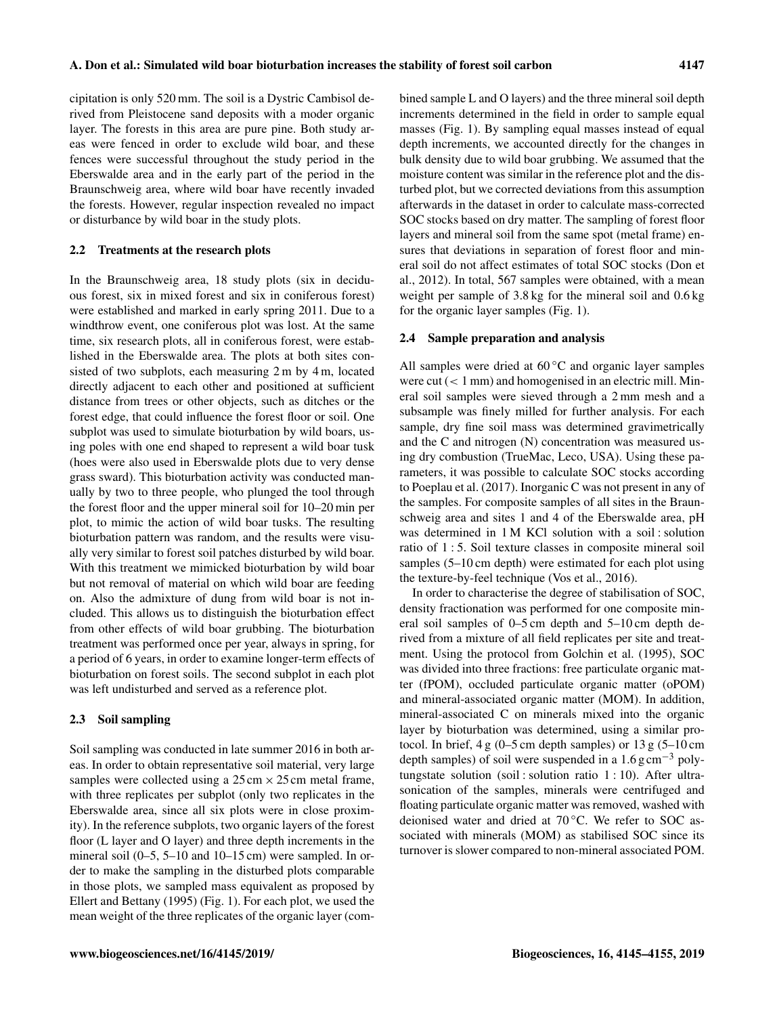cipitation is only 520 mm. The soil is a Dystric Cambisol derived from Pleistocene sand deposits with a moder organic layer. The forests in this area are pure pine. Both study areas were fenced in order to exclude wild boar, and these fences were successful throughout the study period in the Eberswalde area and in the early part of the period in the Braunschweig area, where wild boar have recently invaded the forests. However, regular inspection revealed no impact or disturbance by wild boar in the study plots.

### 2.2 Treatments at the research plots

In the Braunschweig area, 18 study plots (six in deciduous forest, six in mixed forest and six in coniferous forest) were established and marked in early spring 2011. Due to a windthrow event, one coniferous plot was lost. At the same time, six research plots, all in coniferous forest, were established in the Eberswalde area. The plots at both sites consisted of two subplots, each measuring 2 m by 4 m, located directly adjacent to each other and positioned at sufficient distance from trees or other objects, such as ditches or the forest edge, that could influence the forest floor or soil. One subplot was used to simulate bioturbation by wild boars, using poles with one end shaped to represent a wild boar tusk (hoes were also used in Eberswalde plots due to very dense grass sward). This bioturbation activity was conducted manually by two to three people, who plunged the tool through the forest floor and the upper mineral soil for 10–20 min per plot, to mimic the action of wild boar tusks. The resulting bioturbation pattern was random, and the results were visually very similar to forest soil patches disturbed by wild boar. With this treatment we mimicked bioturbation by wild boar but not removal of material on which wild boar are feeding on. Also the admixture of dung from wild boar is not included. This allows us to distinguish the bioturbation effect from other effects of wild boar grubbing. The bioturbation treatment was performed once per year, always in spring, for a period of 6 years, in order to examine longer-term effects of bioturbation on forest soils. The second subplot in each plot was left undisturbed and served as a reference plot.

# 2.3 Soil sampling

Soil sampling was conducted in late summer 2016 in both areas. In order to obtain representative soil material, very large samples were collected using a  $25 \text{ cm} \times 25 \text{ cm}$  metal frame, with three replicates per subplot (only two replicates in the Eberswalde area, since all six plots were in close proximity). In the reference subplots, two organic layers of the forest floor (L layer and O layer) and three depth increments in the mineral soil (0–5, 5–10 and 10–15 cm) were sampled. In order to make the sampling in the disturbed plots comparable in those plots, we sampled mass equivalent as proposed by Ellert and Bettany (1995) (Fig. 1). For each plot, we used the mean weight of the three replicates of the organic layer (combined sample L and O layers) and the three mineral soil depth increments determined in the field in order to sample equal masses (Fig. 1). By sampling equal masses instead of equal depth increments, we accounted directly for the changes in bulk density due to wild boar grubbing. We assumed that the moisture content was similar in the reference plot and the disturbed plot, but we corrected deviations from this assumption afterwards in the dataset in order to calculate mass-corrected SOC stocks based on dry matter. The sampling of forest floor layers and mineral soil from the same spot (metal frame) ensures that deviations in separation of forest floor and mineral soil do not affect estimates of total SOC stocks (Don et al., 2012). In total, 567 samples were obtained, with a mean weight per sample of 3.8 kg for the mineral soil and 0.6 kg for the organic layer samples (Fig. 1).

#### 2.4 Sample preparation and analysis

All samples were dried at  $60^{\circ}$ C and organic layer samples were cut  $(< 1$  mm) and homogenised in an electric mill. Mineral soil samples were sieved through a 2 mm mesh and a subsample was finely milled for further analysis. For each sample, dry fine soil mass was determined gravimetrically and the C and nitrogen (N) concentration was measured using dry combustion (TrueMac, Leco, USA). Using these parameters, it was possible to calculate SOC stocks according to Poeplau et al. (2017). Inorganic C was not present in any of the samples. For composite samples of all sites in the Braunschweig area and sites 1 and 4 of the Eberswalde area, pH was determined in 1 M KCl solution with a soil : solution ratio of 1 : 5. Soil texture classes in composite mineral soil samples (5–10 cm depth) were estimated for each plot using the texture-by-feel technique (Vos et al., 2016).

In order to characterise the degree of stabilisation of SOC, density fractionation was performed for one composite mineral soil samples of 0–5 cm depth and 5–10 cm depth derived from a mixture of all field replicates per site and treatment. Using the protocol from Golchin et al. (1995), SOC was divided into three fractions: free particulate organic matter (fPOM), occluded particulate organic matter (oPOM) and mineral-associated organic matter (MOM). In addition, mineral-associated C on minerals mixed into the organic layer by bioturbation was determined, using a similar protocol. In brief,  $4 \text{ g}$  (0–5 cm depth samples) or  $13 \text{ g}$  (5–10 cm depth samples) of soil were suspended in a  $1.6 \text{ g cm}^{-3}$  polytungstate solution (soil : solution ratio 1 : 10). After ultrasonication of the samples, minerals were centrifuged and floating particulate organic matter was removed, washed with deionised water and dried at 70 °C. We refer to SOC associated with minerals (MOM) as stabilised SOC since its turnover is slower compared to non-mineral associated POM.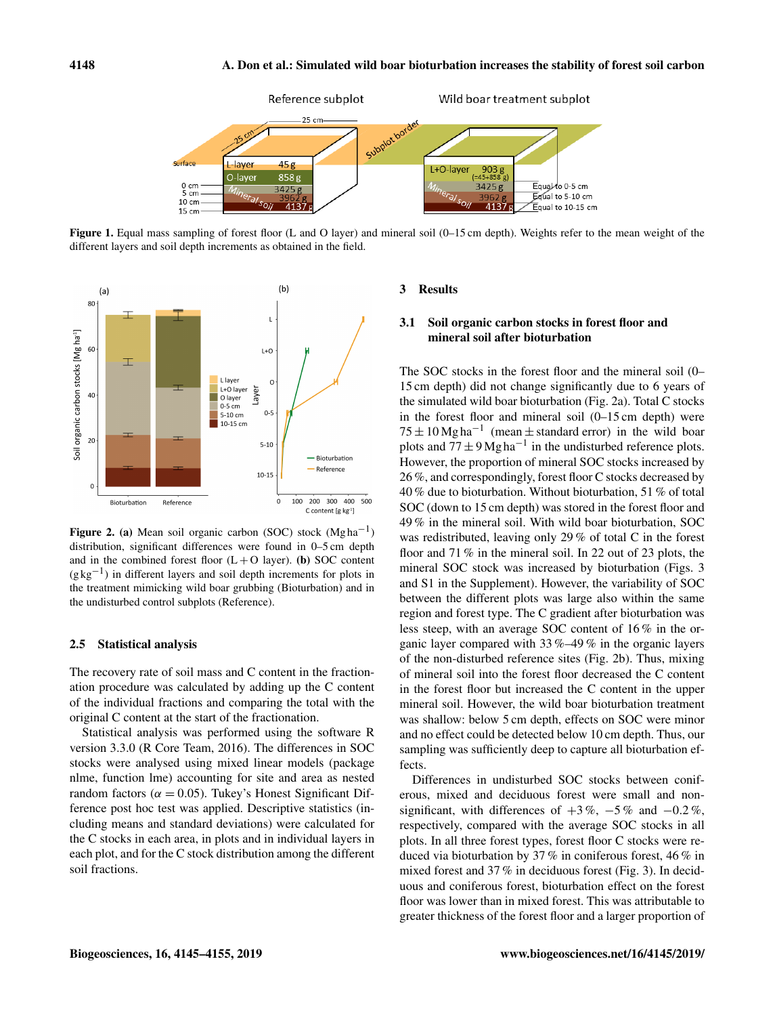

Figure 1. Equal mass sampling of forest floor (L and O layer) and mineral soil (0–15 cm depth). Weights refer to the mean weight of the different layers and soil depth increments as obtained in the field.



Figure 2. (a) Mean soil organic carbon (SOC) stock  $(Mg ha^{-1})$ distribution, significant differences were found in 0–5 cm depth and in the combined forest floor  $(L+O \; \text{layer})$ . (b) SOC content (g kg−<sup>1</sup> ) in different layers and soil depth increments for plots in the treatment mimicking wild boar grubbing (Bioturbation) and in the undisturbed control subplots (Reference).

## 2.5 Statistical analysis

The recovery rate of soil mass and C content in the fractionation procedure was calculated by adding up the C content of the individual fractions and comparing the total with the original C content at the start of the fractionation.

Statistical analysis was performed using the software R version 3.3.0 (R Core Team, 2016). The differences in SOC stocks were analysed using mixed linear models (package nlme, function lme) accounting for site and area as nested random factors ( $\alpha = 0.05$ ). Tukey's Honest Significant Difference post hoc test was applied. Descriptive statistics (including means and standard deviations) were calculated for the C stocks in each area, in plots and in individual layers in each plot, and for the C stock distribution among the different soil fractions.

## 3 Results

# 3.1 Soil organic carbon stocks in forest floor and mineral soil after bioturbation

The SOC stocks in the forest floor and the mineral soil (0– 15 cm depth) did not change significantly due to 6 years of the simulated wild boar bioturbation (Fig. 2a). Total C stocks in the forest floor and mineral soil (0–15 cm depth) were  $75 \pm 10$  Mg ha<sup>-1</sup> (mean  $\pm$  standard error) in the wild boar plots and  $77 \pm 9$  Mg ha<sup>-1</sup> in the undisturbed reference plots. However, the proportion of mineral SOC stocks increased by 26 %, and correspondingly, forest floor C stocks decreased by 40 % due to bioturbation. Without bioturbation, 51 % of total SOC (down to 15 cm depth) was stored in the forest floor and 49 % in the mineral soil. With wild boar bioturbation, SOC was redistributed, leaving only 29 % of total C in the forest floor and 71 % in the mineral soil. In 22 out of 23 plots, the mineral SOC stock was increased by bioturbation (Figs. 3 and S1 in the Supplement). However, the variability of SOC between the different plots was large also within the same region and forest type. The C gradient after bioturbation was less steep, with an average SOC content of 16 % in the organic layer compared with 33 %–49 % in the organic layers of the non-disturbed reference sites (Fig. 2b). Thus, mixing of mineral soil into the forest floor decreased the C content in the forest floor but increased the C content in the upper mineral soil. However, the wild boar bioturbation treatment was shallow: below 5 cm depth, effects on SOC were minor and no effect could be detected below 10 cm depth. Thus, our sampling was sufficiently deep to capture all bioturbation effects.

Differences in undisturbed SOC stocks between coniferous, mixed and deciduous forest were small and nonsignificant, with differences of  $+3\%$ ,  $-5\%$  and  $-0.2\%$ , respectively, compared with the average SOC stocks in all plots. In all three forest types, forest floor C stocks were reduced via bioturbation by 37 % in coniferous forest, 46 % in mixed forest and 37 % in deciduous forest (Fig. 3). In deciduous and coniferous forest, bioturbation effect on the forest floor was lower than in mixed forest. This was attributable to greater thickness of the forest floor and a larger proportion of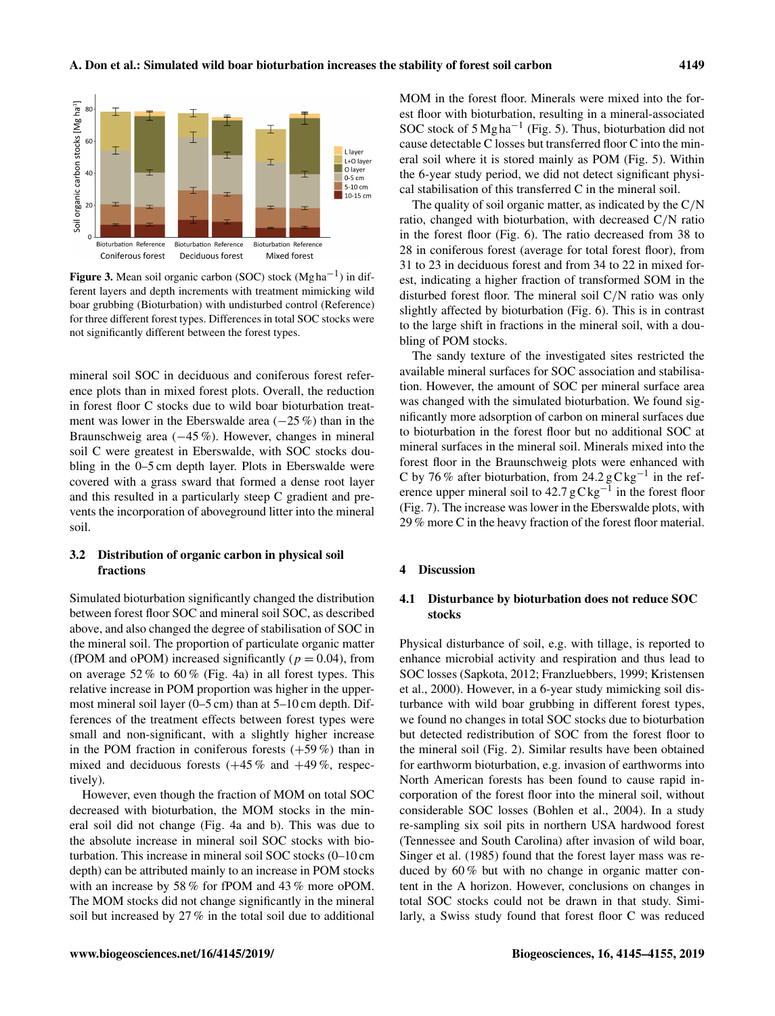

Figure 3. Mean soil organic carbon (SOC) stock  $(Mgha^{-1})$  in different layers and depth increments with treatment mimicking wild boar grubbing (Bioturbation) with undisturbed control (Reference) for three different forest types. Differences in total SOC stocks were not significantly different between the forest types.

mineral soil SOC in deciduous and coniferous forest reference plots than in mixed forest plots. Overall, the reduction in forest floor C stocks due to wild boar bioturbation treatment was lower in the Eberswalde area  $(-25\%)$  than in the Braunschweig area (−45 %). However, changes in mineral soil C were greatest in Eberswalde, with SOC stocks doubling in the 0–5 cm depth layer. Plots in Eberswalde were covered with a grass sward that formed a dense root layer and this resulted in a particularly steep C gradient and prevents the incorporation of aboveground litter into the mineral soil.

# 3.2 Distribution of organic carbon in physical soil fractions

Simulated bioturbation significantly changed the distribution between forest floor SOC and mineral soil SOC, as described above, and also changed the degree of stabilisation of SOC in the mineral soil. The proportion of particulate organic matter (fPOM and oPOM) increased significantly ( $p = 0.04$ ), from on average  $52\%$  to  $60\%$  (Fig. 4a) in all forest types. This relative increase in POM proportion was higher in the uppermost mineral soil layer (0–5 cm) than at 5–10 cm depth. Differences of the treatment effects between forest types were small and non-significant, with a slightly higher increase in the POM fraction in coniferous forests  $(+59\%)$  than in mixed and deciduous forests  $(+45\% \text{ and } +49\%, \text{ respectively})$ tively).

However, even though the fraction of MOM on total SOC decreased with bioturbation, the MOM stocks in the mineral soil did not change (Fig. 4a and b). This was due to the absolute increase in mineral soil SOC stocks with bioturbation. This increase in mineral soil SOC stocks (0–10 cm depth) can be attributed mainly to an increase in POM stocks with an increase by 58 % for fPOM and 43 % more oPOM. The MOM stocks did not change significantly in the mineral soil but increased by 27 % in the total soil due to additional MOM in the forest floor. Minerals were mixed into the forest floor with bioturbation, resulting in a mineral-associated SOC stock of  $5 \text{Mg} \text{ha}^{-1}$  (Fig. 5). Thus, bioturbation did not cause detectable C losses but transferred floor C into the mineral soil where it is stored mainly as POM (Fig. 5). Within the 6-year study period, we did not detect significant physical stabilisation of this transferred C in the mineral soil.

The quality of soil organic matter, as indicated by the  $C/N$ ratio, changed with bioturbation, with decreased C/N ratio in the forest floor (Fig. 6). The ratio decreased from 38 to 28 in coniferous forest (average for total forest floor), from 31 to 23 in deciduous forest and from 34 to 22 in mixed forest, indicating a higher fraction of transformed SOM in the disturbed forest floor. The mineral soil C/N ratio was only slightly affected by bioturbation (Fig. 6). This is in contrast to the large shift in fractions in the mineral soil, with a doubling of POM stocks.

The sandy texture of the investigated sites restricted the available mineral surfaces for SOC association and stabilisation. However, the amount of SOC per mineral surface area was changed with the simulated bioturbation. We found significantly more adsorption of carbon on mineral surfaces due to bioturbation in the forest floor but no additional SOC at mineral surfaces in the mineral soil. Minerals mixed into the forest floor in the Braunschweig plots were enhanced with C by 76 % after bioturbation, from 24.2 gC kg−<sup>1</sup> in the reference upper mineral soil to  $42.7 \text{ gC kg}^{-1}$  in the forest floor (Fig. 7). The increase was lower in the Eberswalde plots, with 29 % more C in the heavy fraction of the forest floor material.

## 4 Discussion

# 4.1 Disturbance by bioturbation does not reduce SOC stocks

Physical disturbance of soil, e.g. with tillage, is reported to enhance microbial activity and respiration and thus lead to SOC losses (Sapkota, 2012; Franzluebbers, 1999; Kristensen et al., 2000). However, in a 6-year study mimicking soil disturbance with wild boar grubbing in different forest types, we found no changes in total SOC stocks due to bioturbation but detected redistribution of SOC from the forest floor to the mineral soil (Fig. 2). Similar results have been obtained for earthworm bioturbation, e.g. invasion of earthworms into North American forests has been found to cause rapid incorporation of the forest floor into the mineral soil, without considerable SOC losses (Bohlen et al., 2004). In a study re-sampling six soil pits in northern USA hardwood forest (Tennessee and South Carolina) after invasion of wild boar, Singer et al. (1985) found that the forest layer mass was reduced by 60 % but with no change in organic matter content in the A horizon. However, conclusions on changes in total SOC stocks could not be drawn in that study. Similarly, a Swiss study found that forest floor C was reduced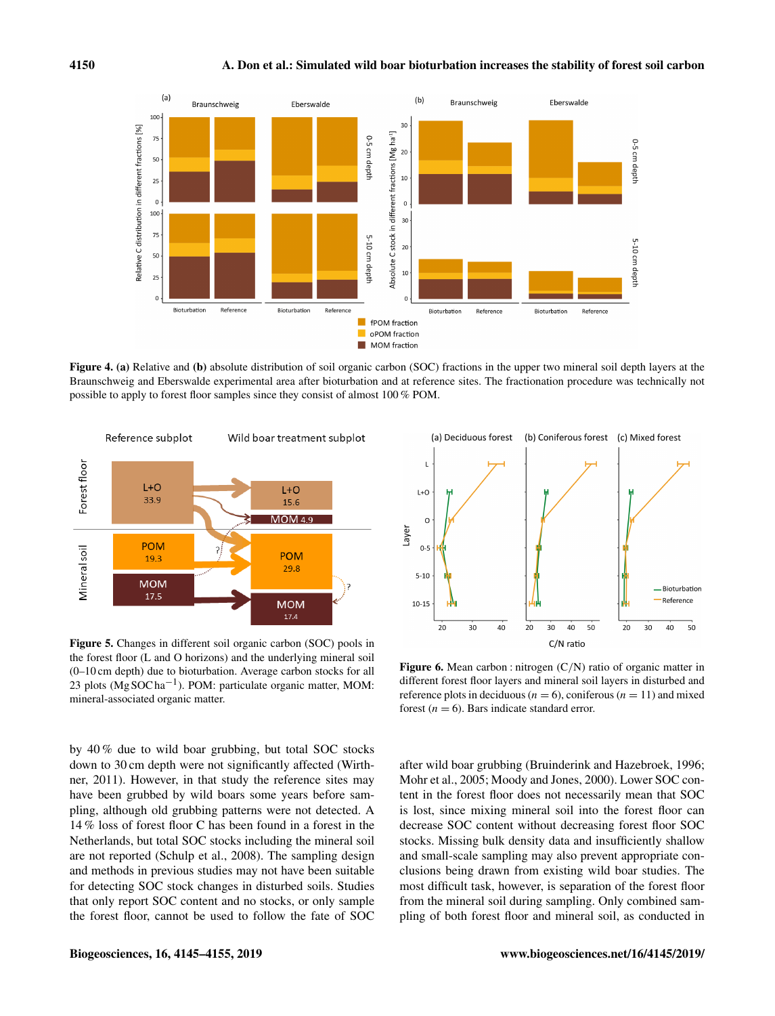

Figure 4. (a) Relative and (b) absolute distribution of soil organic carbon (SOC) fractions in the upper two mineral soil depth layers at the Braunschweig and Eberswalde experimental area after bioturbation and at reference sites. The fractionation procedure was technically not possible to apply to forest floor samples since they consist of almost 100 % POM.



Figure 5. Changes in different soil organic carbon (SOC) pools in the forest floor (L and O horizons) and the underlying mineral soil (0–10 cm depth) due to bioturbation. Average carbon stocks for all 23 plots (Mg SOC ha<sup>-1</sup>). POM: particulate organic matter, MOM: mineral-associated organic matter.

by 40 % due to wild boar grubbing, but total SOC stocks down to 30 cm depth were not significantly affected (Wirthner, 2011). However, in that study the reference sites may have been grubbed by wild boars some years before sampling, although old grubbing patterns were not detected. A 14 % loss of forest floor C has been found in a forest in the Netherlands, but total SOC stocks including the mineral soil are not reported (Schulp et al., 2008). The sampling design and methods in previous studies may not have been suitable for detecting SOC stock changes in disturbed soils. Studies that only report SOC content and no stocks, or only sample the forest floor, cannot be used to follow the fate of SOC



Figure 6. Mean carbon : nitrogen (C/N) ratio of organic matter in different forest floor layers and mineral soil layers in disturbed and reference plots in deciduous ( $n = 6$ ), coniferous ( $n = 11$ ) and mixed forest  $(n = 6)$ . Bars indicate standard error.

after wild boar grubbing (Bruinderink and Hazebroek, 1996; Mohr et al., 2005; Moody and Jones, 2000). Lower SOC content in the forest floor does not necessarily mean that SOC is lost, since mixing mineral soil into the forest floor can decrease SOC content without decreasing forest floor SOC stocks. Missing bulk density data and insufficiently shallow and small-scale sampling may also prevent appropriate conclusions being drawn from existing wild boar studies. The most difficult task, however, is separation of the forest floor from the mineral soil during sampling. Only combined sampling of both forest floor and mineral soil, as conducted in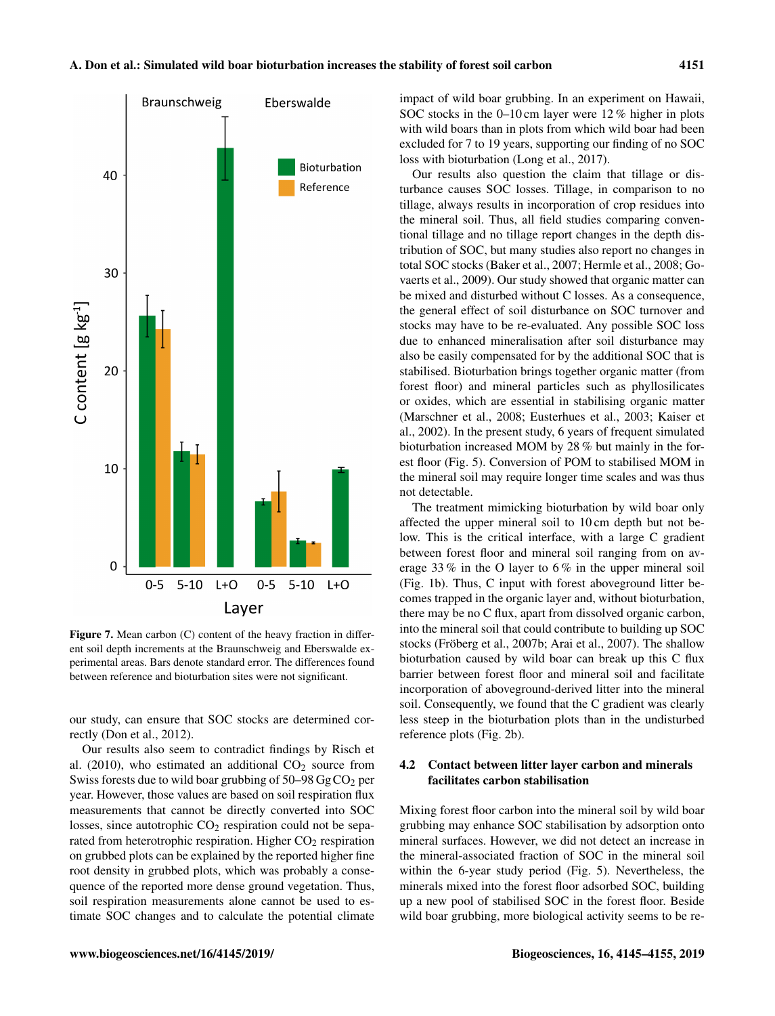

Figure 7. Mean carbon (C) content of the heavy fraction in different soil depth increments at the Braunschweig and Eberswalde experimental areas. Bars denote standard error. The differences found between reference and bioturbation sites were not significant.

our study, can ensure that SOC stocks are determined correctly (Don et al., 2012).

Our results also seem to contradict findings by Risch et al. (2010), who estimated an additional  $CO<sub>2</sub>$  source from Swiss forests due to wild boar grubbing of  $50-98 \text{ Gg} \text{CO}_2$  per year. However, those values are based on soil respiration flux measurements that cannot be directly converted into SOC losses, since autotrophic  $CO<sub>2</sub>$  respiration could not be separated from heterotrophic respiration. Higher  $CO<sub>2</sub>$  respiration on grubbed plots can be explained by the reported higher fine root density in grubbed plots, which was probably a consequence of the reported more dense ground vegetation. Thus, soil respiration measurements alone cannot be used to estimate SOC changes and to calculate the potential climate impact of wild boar grubbing. In an experiment on Hawaii, SOC stocks in the 0–10 cm layer were 12 % higher in plots with wild boars than in plots from which wild boar had been excluded for 7 to 19 years, supporting our finding of no SOC loss with bioturbation (Long et al., 2017).

Our results also question the claim that tillage or disturbance causes SOC losses. Tillage, in comparison to no tillage, always results in incorporation of crop residues into the mineral soil. Thus, all field studies comparing conventional tillage and no tillage report changes in the depth distribution of SOC, but many studies also report no changes in total SOC stocks (Baker et al., 2007; Hermle et al., 2008; Govaerts et al., 2009). Our study showed that organic matter can be mixed and disturbed without C losses. As a consequence, the general effect of soil disturbance on SOC turnover and stocks may have to be re-evaluated. Any possible SOC loss due to enhanced mineralisation after soil disturbance may also be easily compensated for by the additional SOC that is stabilised. Bioturbation brings together organic matter (from forest floor) and mineral particles such as phyllosilicates or oxides, which are essential in stabilising organic matter (Marschner et al., 2008; Eusterhues et al., 2003; Kaiser et al., 2002). In the present study, 6 years of frequent simulated bioturbation increased MOM by 28 % but mainly in the forest floor (Fig. 5). Conversion of POM to stabilised MOM in the mineral soil may require longer time scales and was thus not detectable.

The treatment mimicking bioturbation by wild boar only affected the upper mineral soil to 10 cm depth but not below. This is the critical interface, with a large C gradient between forest floor and mineral soil ranging from on average 33 % in the O layer to 6 % in the upper mineral soil (Fig. 1b). Thus, C input with forest aboveground litter becomes trapped in the organic layer and, without bioturbation, there may be no C flux, apart from dissolved organic carbon, into the mineral soil that could contribute to building up SOC stocks (Fröberg et al., 2007b; Arai et al., 2007). The shallow bioturbation caused by wild boar can break up this C flux barrier between forest floor and mineral soil and facilitate incorporation of aboveground-derived litter into the mineral soil. Consequently, we found that the C gradient was clearly less steep in the bioturbation plots than in the undisturbed reference plots (Fig. 2b).

# 4.2 Contact between litter layer carbon and minerals facilitates carbon stabilisation

Mixing forest floor carbon into the mineral soil by wild boar grubbing may enhance SOC stabilisation by adsorption onto mineral surfaces. However, we did not detect an increase in the mineral-associated fraction of SOC in the mineral soil within the 6-year study period (Fig. 5). Nevertheless, the minerals mixed into the forest floor adsorbed SOC, building up a new pool of stabilised SOC in the forest floor. Beside wild boar grubbing, more biological activity seems to be re-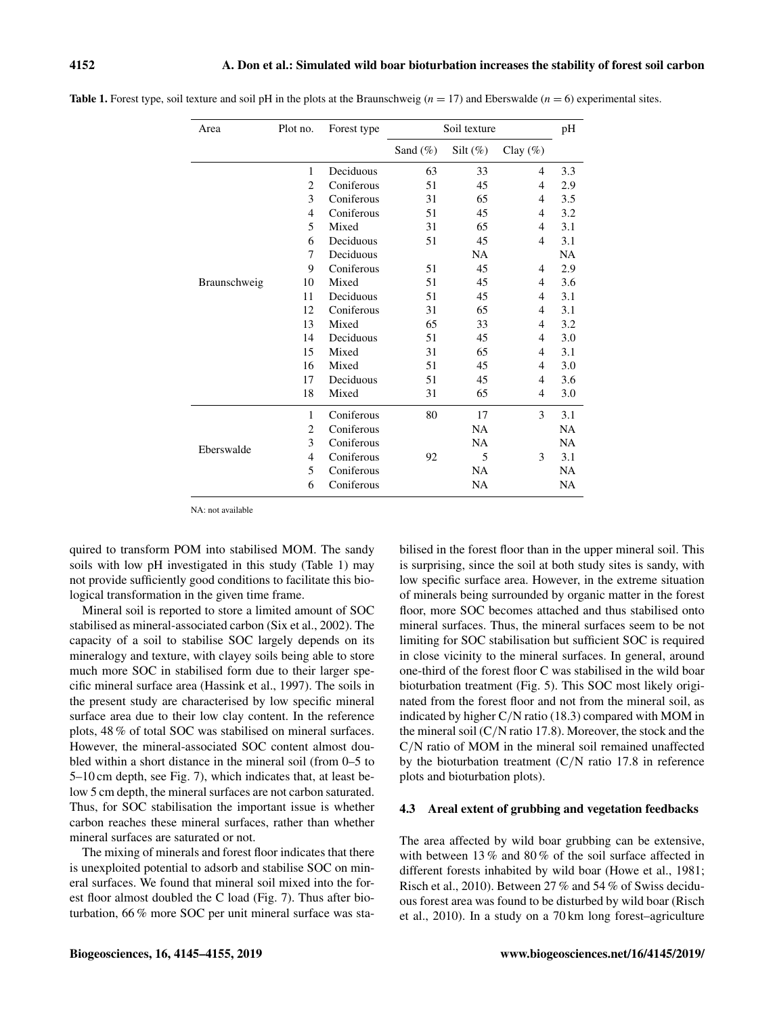| Area         | Plot no.       | Forest type | Soil texture |             |                | pH        |
|--------------|----------------|-------------|--------------|-------------|----------------|-----------|
|              |                |             | Sand $(\%)$  | Silt $(\%)$ | Clay $(\%)$    |           |
| Braunschweig | 1              | Deciduous   | 63           | 33          | 4              | 3.3       |
|              | $\overline{2}$ | Coniferous  | 51           | 45          | 4              | 2.9       |
|              | 3              | Coniferous  | 31           | 65          | $\overline{4}$ | 3.5       |
|              | 4              | Coniferous  | 51           | 45          | $\overline{4}$ | 3.2       |
|              | 5              | Mixed       | 31           | 65          | 4              | 3.1       |
|              | 6              | Deciduous   | 51           | 45          | $\overline{4}$ | 3.1       |
|              | 7              | Deciduous   |              | NA          |                | NA        |
|              | 9              | Coniferous  | 51           | 45          | $\overline{4}$ | 2.9       |
|              | 10             | Mixed       | 51           | 45          | 4              | 3.6       |
|              | 11             | Deciduous   | 51           | 45          | 4              | 3.1       |
|              | 12             | Coniferous  | 31           | 65          | $\overline{4}$ | 3.1       |
|              | 13             | Mixed       | 65           | 33          | 4              | 3.2       |
|              | 14             | Deciduous   | 51           | 45          | 4              | 3.0       |
|              | 15             | Mixed       | 31           | 65          | 4              | 3.1       |
|              | 16             | Mixed       | 51           | 45          | 4              | 3.0       |
|              | 17             | Deciduous   | 51           | 45          | 4              | 3.6       |
|              | 18             | Mixed       | 31           | 65          | 4              | 3.0       |
| Eberswalde   | 1              | Coniferous  | 80           | 17          | 3              | 3.1       |
|              | 2              | Coniferous  |              | <b>NA</b>   |                | <b>NA</b> |
|              | 3              | Coniferous  |              | <b>NA</b>   |                | <b>NA</b> |
|              | 4              | Coniferous  | 92           | 5           | 3              | 3.1       |
|              | 5              | Coniferous  |              | NA          |                | <b>NA</b> |
|              | 6              | Coniferous  |              | <b>NA</b>   |                | <b>NA</b> |

**Table 1.** Forest type, soil texture and soil pH in the plots at the Braunschweig ( $n = 17$ ) and Eberswalde ( $n = 6$ ) experimental sites.

NA: not available

quired to transform POM into stabilised MOM. The sandy soils with low pH investigated in this study (Table 1) may not provide sufficiently good conditions to facilitate this biological transformation in the given time frame.

Mineral soil is reported to store a limited amount of SOC stabilised as mineral-associated carbon (Six et al., 2002). The capacity of a soil to stabilise SOC largely depends on its mineralogy and texture, with clayey soils being able to store much more SOC in stabilised form due to their larger specific mineral surface area (Hassink et al., 1997). The soils in the present study are characterised by low specific mineral surface area due to their low clay content. In the reference plots, 48 % of total SOC was stabilised on mineral surfaces. However, the mineral-associated SOC content almost doubled within a short distance in the mineral soil (from 0–5 to 5–10 cm depth, see Fig. 7), which indicates that, at least below 5 cm depth, the mineral surfaces are not carbon saturated. Thus, for SOC stabilisation the important issue is whether carbon reaches these mineral surfaces, rather than whether mineral surfaces are saturated or not.

The mixing of minerals and forest floor indicates that there is unexploited potential to adsorb and stabilise SOC on mineral surfaces. We found that mineral soil mixed into the forest floor almost doubled the C load (Fig. 7). Thus after bioturbation, 66 % more SOC per unit mineral surface was sta-

bilised in the forest floor than in the upper mineral soil. This is surprising, since the soil at both study sites is sandy, with low specific surface area. However, in the extreme situation of minerals being surrounded by organic matter in the forest floor, more SOC becomes attached and thus stabilised onto mineral surfaces. Thus, the mineral surfaces seem to be not limiting for SOC stabilisation but sufficient SOC is required in close vicinity to the mineral surfaces. In general, around one-third of the forest floor C was stabilised in the wild boar bioturbation treatment (Fig. 5). This SOC most likely originated from the forest floor and not from the mineral soil, as indicated by higher C/N ratio (18.3) compared with MOM in the mineral soil  $(C/N \text{ ratio } 17.8)$ . Moreover, the stock and the C/N ratio of MOM in the mineral soil remained unaffected by the bioturbation treatment (C/N ratio 17.8 in reference plots and bioturbation plots).

## 4.3 Areal extent of grubbing and vegetation feedbacks

The area affected by wild boar grubbing can be extensive, with between 13 % and 80 % of the soil surface affected in different forests inhabited by wild boar (Howe et al., 1981; Risch et al., 2010). Between 27 % and 54 % of Swiss deciduous forest area was found to be disturbed by wild boar (Risch et al., 2010). In a study on a 70 km long forest–agriculture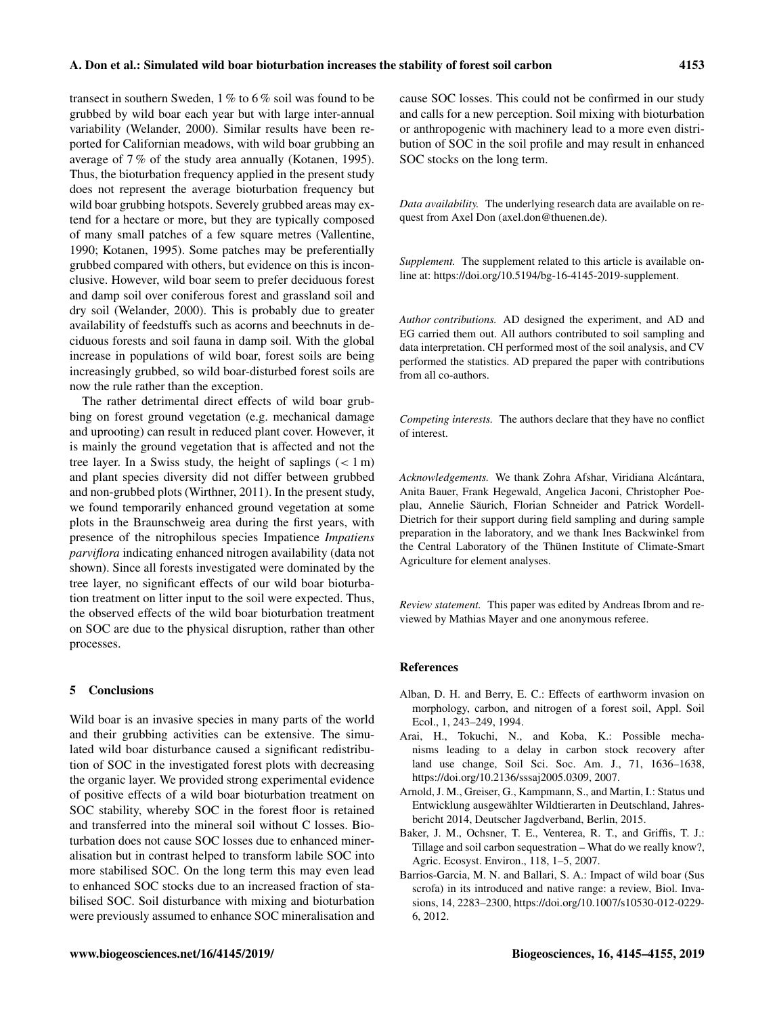## A. Don et al.: Simulated wild boar bioturbation increases the stability of forest soil carbon 4153

transect in southern Sweden, 1 % to 6 % soil was found to be grubbed by wild boar each year but with large inter-annual variability (Welander, 2000). Similar results have been reported for Californian meadows, with wild boar grubbing an average of 7 % of the study area annually (Kotanen, 1995). Thus, the bioturbation frequency applied in the present study does not represent the average bioturbation frequency but wild boar grubbing hotspots. Severely grubbed areas may extend for a hectare or more, but they are typically composed of many small patches of a few square metres (Vallentine, 1990; Kotanen, 1995). Some patches may be preferentially grubbed compared with others, but evidence on this is inconclusive. However, wild boar seem to prefer deciduous forest and damp soil over coniferous forest and grassland soil and dry soil (Welander, 2000). This is probably due to greater availability of feedstuffs such as acorns and beechnuts in deciduous forests and soil fauna in damp soil. With the global increase in populations of wild boar, forest soils are being increasingly grubbed, so wild boar-disturbed forest soils are now the rule rather than the exception.

The rather detrimental direct effects of wild boar grubbing on forest ground vegetation (e.g. mechanical damage and uprooting) can result in reduced plant cover. However, it is mainly the ground vegetation that is affected and not the tree layer. In a Swiss study, the height of saplings  $(< 1 \,\mathrm{m})$ and plant species diversity did not differ between grubbed and non-grubbed plots (Wirthner, 2011). In the present study, we found temporarily enhanced ground vegetation at some plots in the Braunschweig area during the first years, with presence of the nitrophilous species Impatience *Impatiens parviflora* indicating enhanced nitrogen availability (data not shown). Since all forests investigated were dominated by the tree layer, no significant effects of our wild boar bioturbation treatment on litter input to the soil were expected. Thus, the observed effects of the wild boar bioturbation treatment on SOC are due to the physical disruption, rather than other processes.

## 5 Conclusions

Wild boar is an invasive species in many parts of the world and their grubbing activities can be extensive. The simulated wild boar disturbance caused a significant redistribution of SOC in the investigated forest plots with decreasing the organic layer. We provided strong experimental evidence of positive effects of a wild boar bioturbation treatment on SOC stability, whereby SOC in the forest floor is retained and transferred into the mineral soil without C losses. Bioturbation does not cause SOC losses due to enhanced mineralisation but in contrast helped to transform labile SOC into more stabilised SOC. On the long term this may even lead to enhanced SOC stocks due to an increased fraction of stabilised SOC. Soil disturbance with mixing and bioturbation were previously assumed to enhance SOC mineralisation and

cause SOC losses. This could not be confirmed in our study and calls for a new perception. Soil mixing with bioturbation or anthropogenic with machinery lead to a more even distribution of SOC in the soil profile and may result in enhanced SOC stocks on the long term.

*Data availability.* The underlying research data are available on request from Axel Don (axel.don@thuenen.de).

*Supplement.* The supplement related to this article is available online at: [https://doi.org/10.5194/bg-16-4145-2019-supplement.](https://doi.org/10.5194/bg-16-4145-2019-supplement)

*Author contributions.* AD designed the experiment, and AD and EG carried them out. All authors contributed to soil sampling and data interpretation. CH performed most of the soil analysis, and CV performed the statistics. AD prepared the paper with contributions from all co-authors.

*Competing interests.* The authors declare that they have no conflict of interest.

*Acknowledgements.* We thank Zohra Afshar, Viridiana Alcántara, Anita Bauer, Frank Hegewald, Angelica Jaconi, Christopher Poeplau, Annelie Säurich, Florian Schneider and Patrick Wordell-Dietrich for their support during field sampling and during sample preparation in the laboratory, and we thank Ines Backwinkel from the Central Laboratory of the Thünen Institute of Climate-Smart Agriculture for element analyses.

*Review statement.* This paper was edited by Andreas Ibrom and reviewed by Mathias Mayer and one anonymous referee.

#### References

- Alban, D. H. and Berry, E. C.: Effects of earthworm invasion on morphology, carbon, and nitrogen of a forest soil, Appl. Soil Ecol., 1, 243–249, 1994.
- Arai, H., Tokuchi, N., and Koba, K.: Possible mechanisms leading to a delay in carbon stock recovery after land use change, Soil Sci. Soc. Am. J., 71, 1636–1638, https://doi.org[/10.2136/sssaj2005.0309,](https://doi.org/10.2136/sssaj2005.0309) 2007.
- Arnold, J. M., Greiser, G., Kampmann, S., and Martin, I.: Status und Entwicklung ausgewählter Wildtierarten in Deutschland, Jahresbericht 2014, Deutscher Jagdverband, Berlin, 2015.
- Baker, J. M., Ochsner, T. E., Venterea, R. T., and Griffis, T. J.: Tillage and soil carbon sequestration – What do we really know?, Agric. Ecosyst. Environ., 118, 1–5, 2007.
- Barrios-Garcia, M. N. and Ballari, S. A.: Impact of wild boar (Sus scrofa) in its introduced and native range: a review, Biol. Invasions, 14, 2283–2300, https://doi.org[/10.1007/s10530-012-0229-](https://doi.org/10.1007/s10530-012-0229-6) [6,](https://doi.org/10.1007/s10530-012-0229-6) 2012.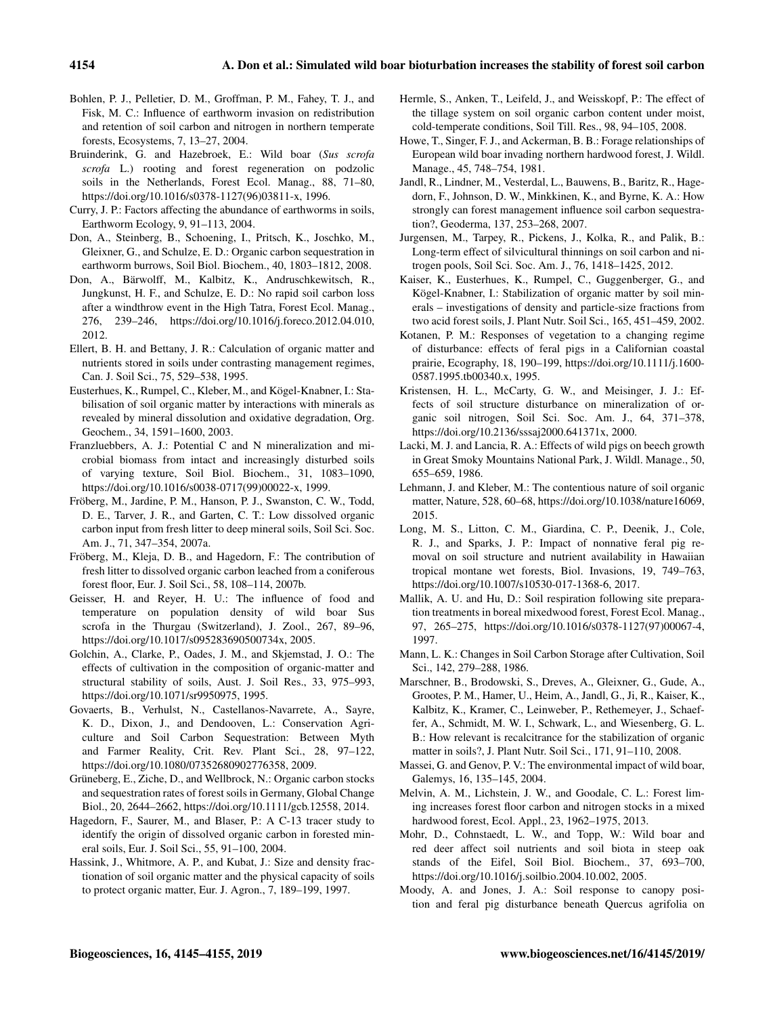- Bohlen, P. J., Pelletier, D. M., Groffman, P. M., Fahey, T. J., and Fisk, M. C.: Influence of earthworm invasion on redistribution and retention of soil carbon and nitrogen in northern temperate forests, Ecosystems, 7, 13–27, 2004.
- Bruinderink, G. and Hazebroek, E.: Wild boar (*Sus scrofa scrofa* L.) rooting and forest regeneration on podzolic soils in the Netherlands, Forest Ecol. Manag., 88, 71–80, https://doi.org[/10.1016/s0378-1127\(96\)03811-x,](https://doi.org/10.1016/s0378-1127(96)03811-x) 1996.
- Curry, J. P.: Factors affecting the abundance of earthworms in soils, Earthworm Ecology, 9, 91–113, 2004.
- Don, A., Steinberg, B., Schoening, I., Pritsch, K., Joschko, M., Gleixner, G., and Schulze, E. D.: Organic carbon sequestration in earthworm burrows, Soil Biol. Biochem., 40, 1803–1812, 2008.
- Don, A., Bärwolff, M., Kalbitz, K., Andruschkewitsch, R., Jungkunst, H. F., and Schulze, E. D.: No rapid soil carbon loss after a windthrow event in the High Tatra, Forest Ecol. Manag., 276, 239–246, https://doi.org[/10.1016/j.foreco.2012.04.010,](https://doi.org/10.1016/j.foreco.2012.04.010) 2012.
- Ellert, B. H. and Bettany, J. R.: Calculation of organic matter and nutrients stored in soils under contrasting management regimes, Can. J. Soil Sci., 75, 529–538, 1995.
- Eusterhues, K., Rumpel, C., Kleber, M., and Kögel-Knabner, I.: Stabilisation of soil organic matter by interactions with minerals as revealed by mineral dissolution and oxidative degradation, Org. Geochem., 34, 1591–1600, 2003.
- Franzluebbers, A. J.: Potential C and N mineralization and microbial biomass from intact and increasingly disturbed soils of varying texture, Soil Biol. Biochem., 31, 1083–1090, https://doi.org[/10.1016/s0038-0717\(99\)00022-x,](https://doi.org/10.1016/s0038-0717(99)00022-x) 1999.
- Fröberg, M., Jardine, P. M., Hanson, P. J., Swanston, C. W., Todd, D. E., Tarver, J. R., and Garten, C. T.: Low dissolved organic carbon input from fresh litter to deep mineral soils, Soil Sci. Soc. Am. J., 71, 347–354, 2007a.
- Fröberg, M., Kleja, D. B., and Hagedorn, F.: The contribution of fresh litter to dissolved organic carbon leached from a coniferous forest floor, Eur. J. Soil Sci., 58, 108–114, 2007b.
- Geisser, H. and Reyer, H. U.: The influence of food and temperature on population density of wild boar Sus scrofa in the Thurgau (Switzerland), J. Zool., 267, 89–96, https://doi.org[/10.1017/s095283690500734x,](https://doi.org/10.1017/s095283690500734x) 2005.
- Golchin, A., Clarke, P., Oades, J. M., and Skjemstad, J. O.: The effects of cultivation in the composition of organic-matter and structural stability of soils, Aust. J. Soil Res., 33, 975–993, https://doi.org[/10.1071/sr9950975,](https://doi.org/10.1071/sr9950975) 1995.
- Govaerts, B., Verhulst, N., Castellanos-Navarrete, A., Sayre, K. D., Dixon, J., and Dendooven, L.: Conservation Agriculture and Soil Carbon Sequestration: Between Myth and Farmer Reality, Crit. Rev. Plant Sci., 28, 97–122, https://doi.org[/10.1080/07352680902776358,](https://doi.org/10.1080/07352680902776358) 2009.
- Grüneberg, E., Ziche, D., and Wellbrock, N.: Organic carbon stocks and sequestration rates of forest soils in Germany, Global Change Biol., 20, 2644–2662, https://doi.org[/10.1111/gcb.12558,](https://doi.org/10.1111/gcb.12558) 2014.
- Hagedorn, F., Saurer, M., and Blaser, P.: A C-13 tracer study to identify the origin of dissolved organic carbon in forested mineral soils, Eur. J. Soil Sci., 55, 91–100, 2004.
- Hassink, J., Whitmore, A. P., and Kubat, J.: Size and density fractionation of soil organic matter and the physical capacity of soils to protect organic matter, Eur. J. Agron., 7, 189–199, 1997.
- Hermle, S., Anken, T., Leifeld, J., and Weisskopf, P.: The effect of the tillage system on soil organic carbon content under moist, cold-temperate conditions, Soil Till. Res., 98, 94–105, 2008.
- Howe, T., Singer, F. J., and Ackerman, B. B.: Forage relationships of European wild boar invading northern hardwood forest, J. Wildl. Manage., 45, 748–754, 1981.
- Jandl, R., Lindner, M., Vesterdal, L., Bauwens, B., Baritz, R., Hagedorn, F., Johnson, D. W., Minkkinen, K., and Byrne, K. A.: How strongly can forest management influence soil carbon sequestration?, Geoderma, 137, 253–268, 2007.
- Jurgensen, M., Tarpey, R., Pickens, J., Kolka, R., and Palik, B.: Long-term effect of silvicultural thinnings on soil carbon and nitrogen pools, Soil Sci. Soc. Am. J., 76, 1418–1425, 2012.
- Kaiser, K., Eusterhues, K., Rumpel, C., Guggenberger, G., and Kögel-Knabner, I.: Stabilization of organic matter by soil minerals – investigations of density and particle-size fractions from two acid forest soils, J. Plant Nutr. Soil Sci., 165, 451–459, 2002.
- Kotanen, P. M.: Responses of vegetation to a changing regime of disturbance: effects of feral pigs in a Californian coastal prairie, Ecography, 18, 190–199, https://doi.org[/10.1111/j.1600-](https://doi.org/10.1111/j.1600-0587.1995.tb00340.x) [0587.1995.tb00340.x,](https://doi.org/10.1111/j.1600-0587.1995.tb00340.x) 1995.
- Kristensen, H. L., McCarty, G. W., and Meisinger, J. J.: Effects of soil structure disturbance on mineralization of organic soil nitrogen, Soil Sci. Soc. Am. J., 64, 371–378, https://doi.org[/10.2136/sssaj2000.641371x,](https://doi.org/10.2136/sssaj2000.641371x) 2000.
- Lacki, M. J. and Lancia, R. A.: Effects of wild pigs on beech growth in Great Smoky Mountains National Park, J. Wildl. Manage., 50, 655–659, 1986.
- Lehmann, J. and Kleber, M.: The contentious nature of soil organic matter, Nature, 528, 60–68, https://doi.org[/10.1038/nature16069,](https://doi.org/10.1038/nature16069) 2015.
- Long, M. S., Litton, C. M., Giardina, C. P., Deenik, J., Cole, R. J., and Sparks, J. P.: Impact of nonnative feral pig removal on soil structure and nutrient availability in Hawaiian tropical montane wet forests, Biol. Invasions, 19, 749–763, https://doi.org[/10.1007/s10530-017-1368-6,](https://doi.org/10.1007/s10530-017-1368-6) 2017.
- Mallik, A. U. and Hu, D.: Soil respiration following site preparation treatments in boreal mixedwood forest, Forest Ecol. Manag., 97, 265–275, https://doi.org[/10.1016/s0378-1127\(97\)00067-4,](https://doi.org/10.1016/s0378-1127(97)00067-4) 1997.
- Mann, L. K.: Changes in Soil Carbon Storage after Cultivation, Soil Sci., 142, 279–288, 1986.
- Marschner, B., Brodowski, S., Dreves, A., Gleixner, G., Gude, A., Grootes, P. M., Hamer, U., Heim, A., Jandl, G., Ji, R., Kaiser, K., Kalbitz, K., Kramer, C., Leinweber, P., Rethemeyer, J., Schaeffer, A., Schmidt, M. W. I., Schwark, L., and Wiesenberg, G. L. B.: How relevant is recalcitrance for the stabilization of organic matter in soils?, J. Plant Nutr. Soil Sci., 171, 91–110, 2008.
- Massei, G. and Genov, P. V.: The environmental impact of wild boar, Galemys, 16, 135–145, 2004.
- Melvin, A. M., Lichstein, J. W., and Goodale, C. L.: Forest liming increases forest floor carbon and nitrogen stocks in a mixed hardwood forest, Ecol. Appl., 23, 1962–1975, 2013.
- Mohr, D., Cohnstaedt, L. W., and Topp, W.: Wild boar and red deer affect soil nutrients and soil biota in steep oak stands of the Eifel, Soil Biol. Biochem., 37, 693–700, https://doi.org[/10.1016/j.soilbio.2004.10.002,](https://doi.org/10.1016/j.soilbio.2004.10.002) 2005.
- Moody, A. and Jones, J. A.: Soil response to canopy position and feral pig disturbance beneath Quercus agrifolia on